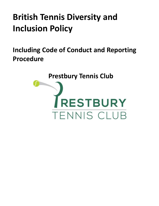# **British Tennis Diversity and Inclusion Policy**

<span id="page-0-0"></span>**Including Code of Conduct and Reporting Procedure**

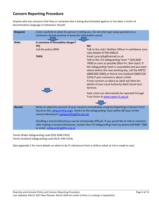## **Concern Reporting Procedure**

Anyone who has concerns that they or someone else is being discriminated against or has been a victim of discriminatory language or behaviour should:

| <b>Respond</b> | Listen carefully to what the person is telling you. Do not interrupt; keep questions to a<br>minimum; do not promise to keep the information secret                                                                                                                                                                                                                                                                                                                          |                                                                                                                                                                                                                                                                                                                                                                                                                                                                                                                                                                                                                                                                    |
|----------------|------------------------------------------------------------------------------------------------------------------------------------------------------------------------------------------------------------------------------------------------------------------------------------------------------------------------------------------------------------------------------------------------------------------------------------------------------------------------------|--------------------------------------------------------------------------------------------------------------------------------------------------------------------------------------------------------------------------------------------------------------------------------------------------------------------------------------------------------------------------------------------------------------------------------------------------------------------------------------------------------------------------------------------------------------------------------------------------------------------------------------------------------------------|
| <b>Refer</b>   | Is someone in immediate danger?<br><b>YES</b><br>Call the police (999)<br><b>THEN</b>                                                                                                                                                                                                                                                                                                                                                                                        | <b>NO</b><br>Talk to the club's Welfare Officer in confidence June<br>Lally Mobile 07790 500623<br>Email: june.lally@hotmail.co.uk<br>Talk to the LTA Safeguarding Team * (020 8487<br>7000) as soon as possible [Mon-Fri, 9am-5pm]. If<br>the Safeguarding Team is unavailable and you want<br>advice before the next working day, call the NSPCC<br>(0808 800 5000) or Parent Line Scotland (0800 028<br>2233) if your concerns is about a child.<br>If your concern us about an adult ask them for<br>details of your Local Authority Adult Social Care<br>Services.<br>Hate crime can alternatively be reported through<br>True Vision at www.report-it.org.uk |
| <b>Record</b>  | Write an objective account of your concerns immediately using the Reporting a Concern Form<br>found on the safeguarding page. Send it to the Safeguarding Team within 48 hours of the<br>concern/disclosure (safeguarding@Ita.org.uk)<br>Handling a concern/disclosure can be emotionally difficult. If you would like to talk to someone<br>after making a concern/disclosure, contact the LTA Safeguarding Team by phone 020 8487 7000<br>or email safeguarding@Ita.org.uk |                                                                                                                                                                                                                                                                                                                                                                                                                                                                                                                                                                                                                                                                    |

Tennis Wales Safeguarding Lead (029 2046 3335) Tennis Scotland Safeguarding Lead (0131 444 4154).

(See appendix C for more details on what to do if a disclosure from a child or adult at risk is made to you)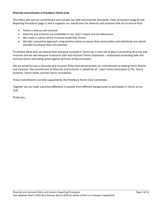### **Diversity and Inclusion in Prestbury Tennis Club**

This Policy sets out our commitment and includes our Safe and Inclusive Standards, Code of Conduct (page 8) and Reporting Procedure (page 2) and it supports our overall aims for diversity and inclusion that are to ensure that:

- Tennis is diverse and inclusive
- Diversity and inclusion are embedded in our club's culture and our behaviours
- We create a culture where inclusive leadership thrives
- We take a proactive approach using positive action to ensure that communities and individuals are valued and able to achieve their full potential.

To achieve these aims we believe that everyone involved in Tennis has a vital role to play in promoting diversity and inclusion and we ask everyone to become Safe and Inclusive Tennis Champions – proactively promoting Safe and Inclusive tennis and taking action against all forms of discrimination.

We are proud to have a Diversity and Inclusion Policy that demonstrates our commitment to making tennis diverse and inclusive. The commitment to Diversity and Inclusion is upheld by all - Lawn Tennis Association (LTA), Tennis Scotland, Tennis Wales and the Tennis Foundation.

These commitments are fully supported by the Prestbury Tennis Club Committee.

Together we can make a positive difference to people from different backgrounds to participate in Tennis at our club.

Thank you.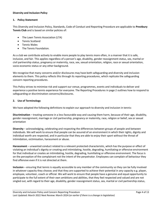### **Diversity and Inclusion Policy**

### **1. Policy Statement**

This Diversity and Inclusion Policy, Standards, Code of Conduct and Reporting Procedure are applicable to **Prestbury Tennis Club** and is based on similar policies of:

- The Lawn Tennis Association (LTA)
- Tennis Scotland
- Tennis Wales
- The Tennis Foundation.

As a club we contribute actively to enable more people to play tennis more often, in a manner that it is safe, inclusive, and fair. This applies regardless of a person's age, disability, gender reassignment status, sex, marital or civil partnership status, pregnancy or maternity, race, sex, sexual orientation, religion, race or sexual orientation, socio-economic status or any other background.

We recognise that many concerns and/or disclosures may have both safeguarding and diversity and inclusion elements to them. This policy reflects this through its reporting procedures, which replicate the safeguarding concern reporting procedures.

This Policy strives to minimise risk and support our venue, programmes, events and individuals to deliver and experience a positive tennis experience for everyone. The Reporting Procedures in page 2 outlines how to respond to safeguarding or discrimination concerns/disclosures.

### **2. Use of Terminology**

We have adopted the following definitions to explain our approach to diversity and inclusion in tennis:

**Discrimination** – treating someone in a less favourable way and causing them harm, because of their age, disability, gender reassignment, marriage or civil partnership, pregnancy or maternity, race, religion or belief, sex or sexual orientation

**Diversity** – acknowledging, celebrating and respecting the differences between groups of people and between individuals. We will work to ensure that people can be assured of an environment in which their rights, dignity and individual worth are respected, and in particular that they are able to enjoy their sport without the threat of intimidation, victimisation, harassment or abuse.

**Harassment** – unwanted conduct related to a relevant protected characteristic, which has the purpose or effect of violating an individual's dignity or creating and intimidating, hostile, degrading, humiliating or offensive environment for that individual or creates an intimidating, hostile, degrading, humiliating or offensive environment. The focus is on the perception of the complainant not the intent of the perpetrator. Employees can complain of behaviour they find offensive even if it is not directed at them.

**Inclusion** – ensuring that tennis is equally accessible to any member of the community so they can be fully involved in whatever capacity they choose; and that they are supported to achieve their potential in any capacity e.g. player, employee, volunteer, coach or official. We will work to ensure that people have a genuine and equal opportunity to participate to the full extent of their own ambitions and abilities, that they feel respected and valued and are not singled out, with regard to their age, disability, gender reassignment status, sex, marital or civil partnership status,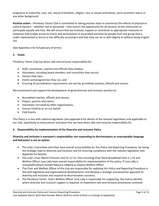pregnancy or maternity, race, sex, sexual orientation, religion, race or sexual orientation, socio-economic status or any other background.

**Positive action** – Prestbury Tennis Club is committed to taking positive steps to counteract the effects of physical or cultural barriers – whether real or perceived – that restrict the opportunity for all sections of the community to participate equally and fully. We will ensure that we institute, support or contribute to appropriate measures or initiatives that enable access to tennis and participation in associated activities by people from any group that is under-represented in tennis or has difficulty accessing it and that they can do so with dignity or without being singled out.

(See Appendix A for full glossary of terms)

### **3. Scope**

Prestbury Tennis Club has direct safe and inclusive responsibility for:

- Staff, consultants, coaches and officials they employ;
- Volunteers, including board members and councillors they recruit;
- Venues they own;
- Events and programmes they run; and
- Ensuring all accreditation requirements are met by accredited coaches, officials and venues.

We recommend and support the development of good diversity and inclusion practice to:

- Accredited coaches, officials and venues;
- Players, parents and carers;
- Volunteers recruited by other organisations;
- Venues hired by or on our behalf
- Club Events.

This Policy is in line with national legislation (see appendix B for details of the relevant legislation) and applicable to our club, specifically to every person and place that we have direct safe and inclusive responsibility for.

### **4. Responsibility for implementation of the Diversity and Inclusion Policy**

### **Diversity and inclusion is everyone's responsibility: not responding to discriminatory or unacceptable language and behaviour is not an option.**

- The club's Committee and Chair have overall accountability for this Policy and Reporting Procedure, for being the strategic lead on diversity and inclusion and for ensuring compliance with the relevant legislation (see Appendix for details).
- The club's Chair Martin Prescott until 31.12.22, then incoming Chair Mark Broadhead from 1.1.23 and Welfare Officer June Lally have overall responsibility for implementation of the policy. If June Lally is unavailable please contact Rebecca Liddiard as Deputy Welfare Officer.
- The Chair and Welfare Officer of the club are responsible for updating this Policy and Reporting Procedure in line with legislative and organisational developments; and develop a strategic and proactive approach to diversity and inclusion and respond to discrimination concerns.
- The Prestbury Tennis Club's Welfare Officer June Lally is responsible for supporting the club to identify where diversity and inclusion support is required; to implement safe and inclusive procedures; promote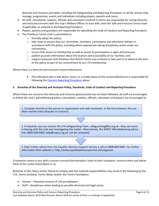diversity and inclusion principles, including the Safeguarding and Reporting Procedure, to all the venues they manage, programmes, events and individuals including players, parents and carers.

- All staff, consultants, coaches, officials and volunteers involved in tennis are responsible for raising diversity and inclusion concerns with the club's Welfare Officer to start with; then the Safe and Inclusive Tennis team if applicable, as outlined in the Reporting Procedure.
- Players, parents and guardians are responsible for upholding the Code of Conduct and Reporting Procedure.
- The Prestbury Tennis Club is committed to:
	- $\circ$  formally adopt this policy,
	- $\circ$  take steps to ensure that our committee, members, participants and volunteers behave in accordance with the policy, including where appropriate taking disciplinary action under our constitution;
	- $\circ$  ensure that access to membership as well as access to participation is open and inclusive;
	- $\circ$  publish accurate information about the location and accessibility of our facilities; and
	- $\circ$  support measures and initiatives that British Tennis may institute or take part in to advance the aims of this policy as part of our commitment to our LTA membership.

Where there is a diversity and inclusion concern/disclosure:

• The individual who is told about, hears, or is made aware of the concern/disclosure is responsible for following the [Concern Reporting Procedure](#page-0-0) above

#### **5. Breaches of the Diversity and Inclusion Policy, Standards, Code of Conduct and Reporting Procedure**

Where there are concerns that diversity and inclusion good practice has not been followed, all staff are encouraged to follow the club's whistleblowing policy; consultants, coaches, officials, volunteers and players are encouraged to:

1. Complain directly to the person or organisation and seek resolution. In the first instance, this can often resolve many disputes or concerns.

2. If required, you can contact the LTA Safeguarding Team: safeguarding@lta.org.uk - they can assist in liaising with the club and investigating the matter. Alternatively, the NSPCC Whistleblowing advice line: 0800 028 0285; help@nspcc.org.uk can be contacted.

3. Seek further advice from the Equality Advisory Support Service a call on 0808 800 0082. For further information their website is: http://www.equalityadvisoryservice.com/app/ask

If someone comes to you with a concern around discrimination, listen to their complaint, reassure them and advise them of the routes listed above (1-3).

Breaches of this Policy and/or failure to comply with the outlined responsibilities may result in the following by the LTA, Tennis Scotland, Tennis Wales and/or the Tennis Foundation:

- Venues Potential removal of LTA accreditation
- Staff disciplinary action leading to possible dismissal and legal action.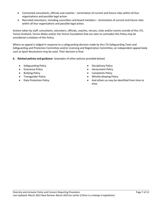- Contracted consultants, officials and coaches termination of current and future roles within all four organisations and possible legal action.
- Recruited volunteers, including councillors and board members termination of current and future roles within all four organisations and possible legal action.

Actions taken by staff, consultants, volunteers, officials, coaches, venues, clubs and/or events outside of the LTA, Tennis Scotland, Tennis Wales and/or the Tennis Foundation that are seen to contradict this Policy may be considered a violation of this Policy.

Where an appeal is lodged in response to a safeguarding decision made by the LTA Safeguarding Team and Safeguarding and Protection Committee and/or Licensing and Registration Committee, an independent appeal body such as Sport Resolutions may be used. Their decision is final.

- **6. Related policies and guidance** (examples of other policies provided below)
	- Safeguarding Policy  **Disciplinary Policy**
	-
	-
	-
	-
- 
- Grievance Policy Harassment Policy
- Bullying Policy Complaints Policy
- Transgender Policy  **Whistle-blowing Policy**
- Data Protection Policy  **And others as may be identified from time to** time.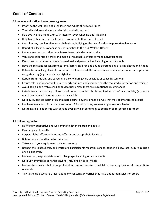# **Codes of Conduct**

#### **All members of staff and volunteers agree to:**

- Prioritise the well-being of all children and adults at risk at all times
- Treat all children and adults at risk fairly and with respect
- Be a positive role model. Act with integrity, even when no one is looking
- Help to create a safe and inclusive environment both on and off court
- Not allow any rough or dangerous behaviour, bullying or the use of bad or inappropriate language
- Report all allegations of abuse or poor practice to the club Welfare Officer
- Not use any sanctions that humiliate or harm a child or adult at risk
- Value and celebrate diversity and make all reasonable efforts to meet individual needs
- Keep clear boundaries between professional and personal life, including on social media
- Have the relevant consent from parents/carers, children and adults before taking or using photos and videos
- Refrain from making physical contact with children or adults unless it is necessary as part of an emergency or congratulatory (e.g. handshake / high five)
- Refrain from smoking and consuming alcohol during club activities or coaching sessions
- Ensure roles and responsibilities are clearly outlined and everyone has the required information and training
- Avoid being alone with a child or adult at risk unless there are exceptional circumstances
- Refrain from transporting children or adults at risk, unless this is required as part of a club activity (e.g. away match) and there is another adult in the vehicle
- Not abuse, neglect, harm or discriminate against anyone; or act in a way that may be interpreted as such
- Not have a relationship with anyone under 18 for whom they are coaching or responsible for
- Not to have a relationship with anyone over 18 whilst continuing to coach or be responsible for them

### **All children agree to:**

- Be friendly, supportive and welcoming to other children and adults
- Play fairly and honestly
- Respect club staff, volunteers and Officials and accept their decisions
- Behave, respect and listen to your coach
- Take care of your equipment and club property
- Respect the rights, dignity and worth of all participants regardless of age, gender, ability, race, culture, religion or sexual identity
- Not use bad, inappropriate or racist language, including on social media
- Not bully, intimidate or harass anyone, including on social media
- Not smoke, drink alcohol or drugs of any kind on club premises or whilst representing the club at competitions or events
- Talk to the club Welfare Officer about any concerns or worries they have about themselves or others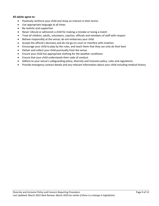### **All adults agree to:**

- Positively reinforce your child and show an interest in their tennis
- Use appropriate language at all times
- Be realistic and supportive
- Never ridicule or admonish a child for making a mistake or losing a match
- Treat all children, adults, volunteers, coaches, officials and members of staff with respect
- Behave responsibly at the venue; do not embarrass your child
- Accept the official's decisions and do not go on court or interfere with matches
- Encourage your child to play by the rules, and teach them that they can only do their best
- Deliver and collect your child punctually from the venue
- Ensure your child has appropriate clothing for the weather conditions
- Ensure that your child understands their code of conduct
- Adhere to your venue's safeguarding policy, diversity and inclusion policy, rules and regulations
- Provide emergency contact details and any relevant information about your child including medical history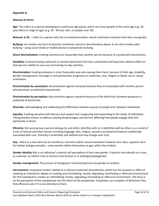### **Appendix A:**

### **Glossary of terms**

**Age:** This refers to a person belonging to a particular age group, which can mean people of the same age (e.g. 32 year old's) or range of ages (e.g. 18 - 30-year old's, or people over 50).

**Bisexual or Bi:** – refers to a person who has an emotional and/or sexual orientation towards more than one gender.

**Bullying:** can involve any form of physical, emotional, sexual or discriminatory abuse. It can also include cyberbullying – using social media or mobile phones to perpetrate bullying.

**Direct discrimination:** treating someone less favourably than another person because of a protected characteristic.

**Disability:** A person having a physical or mental impairment that has a substantial and long-term adverse effect on that person's ability to carry out normal day-to-day activities.

**Discrimination:** treating someone in a less favourable way and causing them harm, because of their age, disability, gender reassignment, marriage or civil partnership, pregnancy or maternity, race, religion or belief, sex or sexual orientation.

**Discrimination by association:** discrimination against someone because they are associated with another person who possesses a protected characteristic.

**Discrimination by perception:** discrimination against someone because of the belief that someone possesses a protected characteristic.

**Diversity:** acknowledging and celebrating the differences between groups of people and between individuals**.**

**Equality**: treating everyone with fairness and respect and recognising and responding to the needs of individuals. Taking positive actions to address existing disadvantages and barriers affecting how people engage with and participate in tennis.

**Ethnicity**: the social group a person belongs to, and either identifies with or is identified with by others, as a result of a mix of cultural and other factors including language, diet, religion, ancestry and physical features traditionally associated with race. Ethnicity is essentially self-defined and may change over time.

**Gay**: refers to a man who has an emotional, romantic and/or sexual orientation towards men. Also, a generic term for lesbian and gay sexuality - some women define themselves as gay rather than lesbian.

**Gender identity: t**his is an individual's internal self-perception of their own gender. A person may identify as a man, as a woman, as neither man or woman (non-binary) or as androgyne/polygender.

**Gender reassignment**: The process of changing or transitioning from one gender to another.

**Harrassment:** unwanted conduct related to a relevant protected characteristic, which has the purpose or effect of violating an individual's dignity or creating and intimidating, hostile, degrading, humiliating or offensive environment for that individual or creates an intimidating, hostile, degrading, humiliating or offensive environment. The focus is on the perception of the complainant not the intent of the perpetrator. Employees can complain of behaviour they find offensive even if it is not directed at them.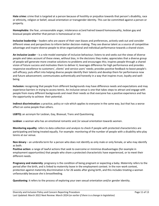**Hate crime:** crime that is targeted at a person because of hostility or prejudice towards that person's disability, race or ethnicity, religion or belief, sexual orientation or transgender identity. This can be committed against a person or property.

**Homophobia**: the fear, unreasonable anger, intolerance or/and hatred toward homosexuality, lesbian gay and bisexual people whether that person is homosexual or not.

**Inclusive leadership** – leaders who are aware of their own biases and preferences, actively seek out and consider different views and perspectives to inform better decision-making. They see diverse talent as a source of competitive advantage and inspire diverse people to drive organisational and individual performance towards a shared vision.

**An Inclusive Leader** – is a role model exemplar of inclusive behaviour; listens to and seeks out the views of diverse people and takes account of these views, without bias, in the decisions they make; appreciates that a diverse group of people will generate more creative solutions to problems and encourages this; inspires people through a shared vision of future success and motivates them to deliver it; leverages difference for high performance and provides responsive excellence to customers', clients' and service users' needs; provides positive feedback to boost people's self-efficacy; puts effort into helping diverse people identify their talents and develop them for performance now and future advancement; communicates authentically and honestly in a way that inspires trust, loyalty and wellbeing.

**Inclusion:** recognising that people from different backgrounds may have difference needs and expectations and may experience barriers in trying to access tennis. An inclusive venue is one that takes steps to attract and engage with people from many different backgrounds and meet their needs so that everyone has a positive experience and has the opportunity to achieve their potential.

**Indirect discrimination:** a practice, policy or rule which applies to everyone in the same way, but that has a worse effect on some people than others.

**LGBTQ:** an acronym for Lesbian, Gay, Bisexual, Trans and Questioning.

**Lesbian**: a woman who has an emotional romantic and /or sexual orientation towards women.

**Monitoring equality**: refers to data collection and analysis to check if people with protected characteristics are participating and being treated equally. For example: monitoring of the number of people with a disability who play tennis at our venue.

**Non-binary** – an umbrella term for a person who does not identify as only male or only female, or who may identify as both.

**Positive action:** a range of lawful actions that seek to overcome or minimise disadvantages (for example in employment opportunities) that people who share a protected characteristic have experienced, or to meet their different needs.

**Pregnancy and maternity**: pregnancy is the condition of being pregnant or expecting a baby. Maternity refers to the period after the birth, and is linked to maternity leave in the employment context. In the non-work context, protection against maternity discrimination is for 26 weeks after giving birth, and this includes treating a woman unfavourably because she is breastfeeding.

**Questioning**: it refers to the process of exploring your own sexual orientation and/or gender identity.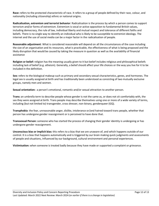**Race:** refers to the protected characteristic of race. It refers to a group of people defined by their race, colour, and nationality (including citizenship) ethnic or national origins.

**Radicalisation, extremism and terrorist behavior**: Radicalisation is the process by which a person comes to support terrorism and/or forms of extremism. Extremism is vocal or active opposition to fundamental British values, including democracy, the rule of law, individual liberty and mutual respect and tolerance of different faiths and beliefs. There is no single way to identify an individual who is likely to be susceptible to extremist ideology. The internet and the use of social media can be a major factor in the radicalisation of people.

**Reasonable adjustment**: What is considered reasonable will depend on all the circumstances of the case including the size of an organisation and its resources, what is practicable, the effectiveness of what is being proposed and the likely disruption that would be caused by taking the measure in question as well as the availability of financial assistance

**Religion or belief:** religion has the meaning usually given to it but belief includes religious and philosophical beliefs including lack of belief (e.g. atheism). Generally, a belief should affect your life choices or the way you live for it to be included in the definition.

**Sex:** refers to the biological makeup such as primary and secondary sexual characteristics, genes, and hormones. The legal sex is usually assigned at birth and has traditionally been understood as consisting of two mutually exclusive groups, namely men and women.

**Sexual orientation:** a person's emotional, romantic and/or sexual attraction to another person.

**Trans:** an umbrella term to describe people whose gender is not the same as, or does not sit comfortably with, the sex they were assigned at birth. Trans people may describe themselves using one or more of a wide variety of terms, including (but not limited to) transgender, cross dresser, non-binary, genderqueer (GQ).

**Transphobia**: the fear, unreasonable anger, dislike, intolerance or/and hatred toward trans people, whether that person has undergone gender reassignment or is perceived to have done that.

**Transsexual Person:** someone who has started the process of changing their gender identity is undergoing or has undergone gender reassignment.

**Unconscious bias or implicit bias:** this refers to a bias that we are unaware of, and which happens outside of our control. It is a bias that happens automatically and is triggered by our brain making quick judgments and assessments of people and situations, influenced by our background, cultural environment and personal experiences.

**Victimisation:** when someone is treated badly because they have made or supported a complaint or grievance.